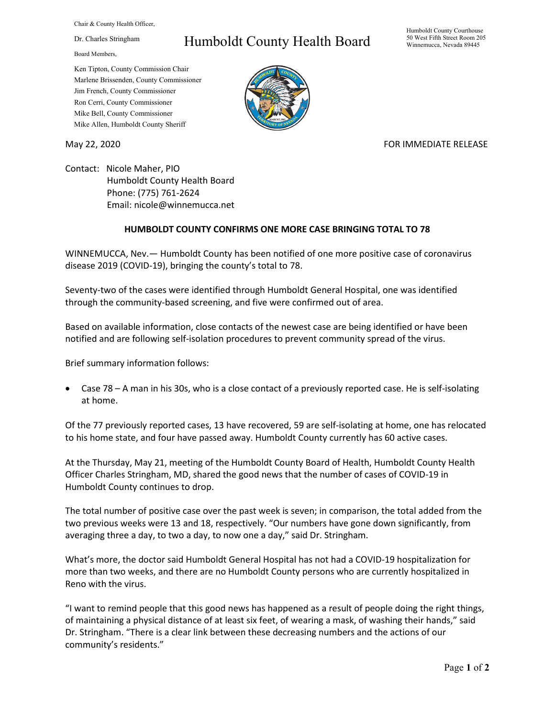Chair & County Health Officer,

Dr. Charles Stringham

Board Members,

## Humboldt County Health Board

Humboldt County Courthouse 50 West Fifth Street Room 205 Winnemucca, Nevada 89445

Ken Tipton, County Commission Chair Marlene Brissenden, County Commissioner Jim French, County Commissioner Ron Cerri, County Commissioner Mike Bell, County Commissioner Mike Allen, Humboldt County Sheriff

May 22, 2020 FOR IMMEDIATE RELEASE

Contact: Nicole Maher, PIO Humboldt County Health Board Phone: (775) 761-2624 Email: nicole@winnemucca.net

## **HUMBOLDT COUNTY CONFIRMS ONE MORE CASE BRINGING TOTAL TO 78**

WINNEMUCCA, Nev.— Humboldt County has been notified of one more positive case of coronavirus disease 2019 (COVID-19), bringing the county's total to 78.

Seventy-two of the cases were identified through Humboldt General Hospital, one was identified through the community-based screening, and five were confirmed out of area.

Based on available information, close contacts of the newest case are being identified or have been notified and are following self-isolation procedures to prevent community spread of the virus.

Brief summary information follows:

• Case 78 – A man in his 30s, who is a close contact of a previously reported case. He is self-isolating at home.

Of the 77 previously reported cases, 13 have recovered, 59 are self-isolating at home, one has relocated to his home state, and four have passed away. Humboldt County currently has 60 active cases.

At the Thursday, May 21, meeting of the Humboldt County Board of Health, Humboldt County Health Officer Charles Stringham, MD, shared the good news that the number of cases of COVID-19 in Humboldt County continues to drop.

The total number of positive case over the past week is seven; in comparison, the total added from the two previous weeks were 13 and 18, respectively. "Our numbers have gone down significantly, from averaging three a day, to two a day, to now one a day," said Dr. Stringham.

What's more, the doctor said Humboldt General Hospital has not had a COVID-19 hospitalization for more than two weeks, and there are no Humboldt County persons who are currently hospitalized in Reno with the virus.

"I want to remind people that this good news has happened as a result of people doing the right things, of maintaining a physical distance of at least six feet, of wearing a mask, of washing their hands," said Dr. Stringham. "There is a clear link between these decreasing numbers and the actions of our community's residents."